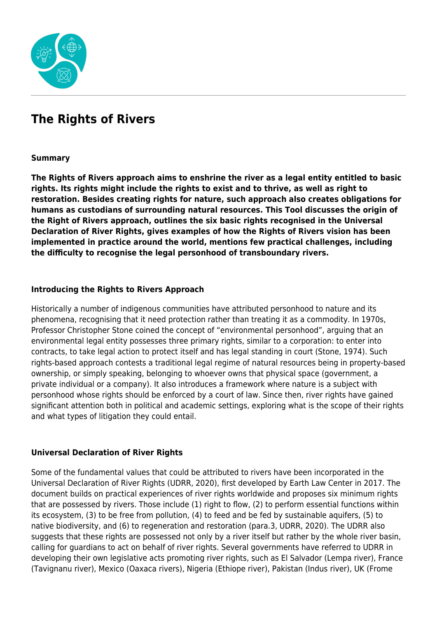

# **The Rights of Rivers**

### **Summary**

**The Rights of Rivers approach aims to enshrine the river as a legal entity entitled to basic rights. Its rights might include the rights to exist and to thrive, as well as right to restoration. Besides creating rights for nature, such approach also creates obligations for humans as custodians of surrounding natural resources. This Tool discusses the origin of the Right of Rivers approach, outlines the six basic rights recognised in the Universal Declaration of River Rights, gives examples of how the Rights of Rivers vision has been implemented in practice around the world, mentions few practical challenges, including the difficulty to recognise the legal personhood of transboundary rivers.**

### **Introducing the Rights to Rivers Approach**

Historically a number of indigenous communities have attributed personhood to nature and its phenomena, recognising that it need protection rather than treating it as a commodity. In 1970s, Professor Christopher Stone coined the concept of "environmental personhood", arguing that an environmental legal entity possesses three primary rights, similar to a corporation: to enter into contracts, to take legal action to protect itself and has legal standing in court (Stone, 1974). Such rights-based approach contests a traditional legal regime of natural resources being in property-based ownership, or simply speaking, belonging to whoever owns that physical space (government, a private individual or a company). It also introduces a framework where nature is a subject with personhood whose rights should be enforced by a court of law. Since then, river rights have gained significant attention both in political and academic settings, exploring what is the scope of their rights and what types of litigation they could entail.

### **Universal Declaration of River Rights**

Some of the fundamental values that could be attributed to rivers have been incorporated in the Universal Declaration of River Rights (UDRR, 2020), first developed by Earth Law Center in 2017. The document builds on practical experiences of river rights worldwide and proposes six minimum rights that are possessed by rivers. Those include (1) right to flow, (2) to perform essential functions within its ecosystem, (3) to be free from pollution, (4) to feed and be fed by sustainable aquifers, (5) to native biodiversity, and (6) to regeneration and restoration (para.3, UDRR, 2020). The UDRR also suggests that these rights are possessed not only by a river itself but rather by the whole river basin, calling for guardians to act on behalf of river rights. Several governments have referred to UDRR in developing their own legislative acts promoting river rights, such as El Salvador (Lempa river), France (Tavignanu river), Mexico (Oaxaca rivers), Nigeria (Ethiope river), Pakistan (Indus river), UK (Frome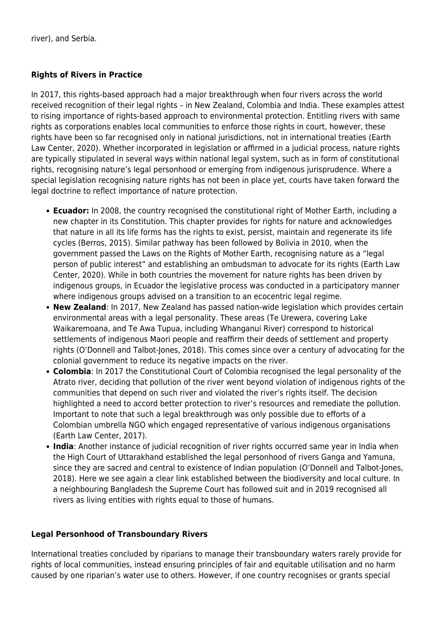river), and Serbia.

## **Rights of Rivers in Practice**

In 2017, this rights-based approach had a major breakthrough when four rivers across the world received recognition of their legal rights – in New Zealand, Colombia and India. These examples attest to rising importance of rights-based approach to environmental protection. Entitling rivers with same rights as corporations enables local communities to enforce those rights in court, however, these rights have been so far recognised only in national jurisdictions, not in international treaties (Earth Law Center, 2020). Whether incorporated in legislation or affirmed in a judicial process, nature rights are typically stipulated in several ways within national legal system, such as in form of constitutional rights, recognising nature's legal personhood or emerging from indigenous jurisprudence. Where a special legislation recognising nature rights has not been in place yet, courts have taken forward the legal doctrine to reflect importance of nature protection.

- **Ecuador:** In 2008, the country recognised the constitutional right of Mother Earth, including a new chapter in its Constitution. This chapter provides for rights for nature and acknowledges that nature in all its life forms has the rights to exist, persist, maintain and regenerate its life cycles (Berros, 2015). Similar pathway has been followed by Bolivia in 2010, when the government passed the Laws on the Rights of Mother Earth, recognising nature as a "legal person of public interest" and establishing an ombudsman to advocate for its rights (Earth Law Center, 2020). While in both countries the movement for nature rights has been driven by indigenous groups, in Ecuador the legislative process was conducted in a participatory manner where indigenous groups advised on a transition to an ecocentric legal regime.
- **New Zealand**: In 2017, New Zealand has passed nation-wide legislation which provides certain environmental areas with a legal personality. These areas (Te Urewera, covering Lake Waikaremoana, and Te Awa Tupua, including Whanganui River) correspond to historical settlements of indigenous Maori people and reaffirm their deeds of settlement and property rights (O'Donnell and Talbot-Jones, 2018). This comes since over a century of advocating for the colonial government to reduce its negative impacts on the river.
- **Colombia**: In 2017 the Constitutional Court of Colombia recognised the legal personality of the Atrato river, deciding that pollution of the river went beyond violation of indigenous rights of the communities that depend on such river and violated the river's rights itself. The decision highlighted a need to accord better protection to river's resources and remediate the pollution. Important to note that such a legal breakthrough was only possible due to efforts of a Colombian umbrella NGO which engaged representative of various indigenous organisations (Earth Law Center, 2017).
- **India**: Another instance of judicial recognition of river rights occurred same year in India when the High Court of Uttarakhand established the legal personhood of rivers Ganga and Yamuna, since they are sacred and central to existence of Indian population (O'Donnell and Talbot-Jones, 2018). Here we see again a clear link established between the biodiversity and local culture. In a neighbouring Bangladesh the Supreme Court has followed suit and in 2019 recognised all rivers as living entities with rights equal to those of humans.

### **Legal Personhood of Transboundary Rivers**

International treaties concluded by riparians to manage their transboundary waters rarely provide for rights of local communities, instead ensuring principles of fair and equitable utilisation and no harm caused by one riparian's water use to others. However, if one country recognises or grants special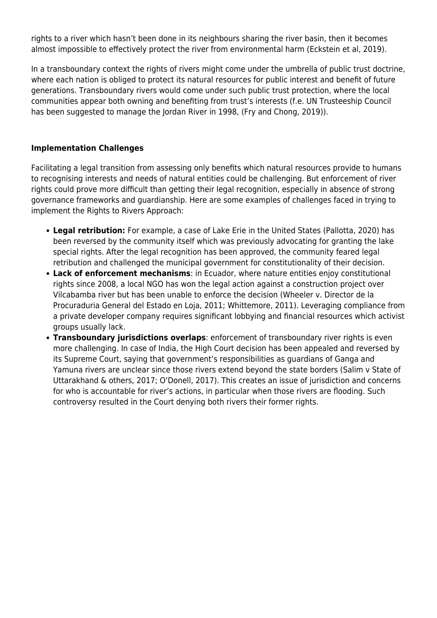rights to a river which hasn't been done in its neighbours sharing the river basin, then it becomes almost impossible to effectively protect the river from environmental harm (Eckstein et al, 2019).

In a transboundary context the rights of rivers might come under the umbrella of public trust doctrine, where each nation is obliged to protect its natural resources for public interest and benefit of future generations. Transboundary rivers would come under such public trust protection, where the local communities appear both owning and benefiting from trust's interests (f.e. UN Trusteeship Council has been suggested to manage the Jordan River in 1998, (Fry and Chong, 2019)).

## **Implementation Challenges**

Facilitating a legal transition from assessing only benefits which natural resources provide to humans to recognising interests and needs of natural entities could be challenging. But enforcement of river rights could prove more difficult than getting their legal recognition, especially in absence of strong governance frameworks and guardianship. Here are some examples of challenges faced in trying to implement the Rights to Rivers Approach:

- **Legal retribution:** For example, a case of Lake Erie in the United States (Pallotta, 2020) has been reversed by the community itself which was previously advocating for granting the lake special rights. After the legal recognition has been approved, the community feared legal retribution and challenged the municipal government for constitutionality of their decision.
- **Lack of enforcement mechanisms**: in Ecuador, where nature entities enjoy constitutional rights since 2008, a local NGO has won the legal action against a construction project over Vilcabamba river but has been unable to enforce the decision (Wheeler v. Director de la Procuraduria General del Estado en Loja, 2011; Whittemore, 2011). Leveraging compliance from a private developer company requires significant lobbying and financial resources which activist groups usually lack.
- **Transboundary jurisdictions overlaps**: enforcement of transboundary river rights is even more challenging. In case of India, the High Court decision has been appealed and reversed by its Supreme Court, saying that government's responsibilities as guardians of Ganga and Yamuna rivers are unclear since those rivers extend beyond the state borders (Salim v State of Uttarakhand & others, 2017; O'Donell, 2017). This creates an issue of jurisdiction and concerns for who is accountable for river's actions, in particular when those rivers are flooding. Such controversy resulted in the Court denying both rivers their former rights.